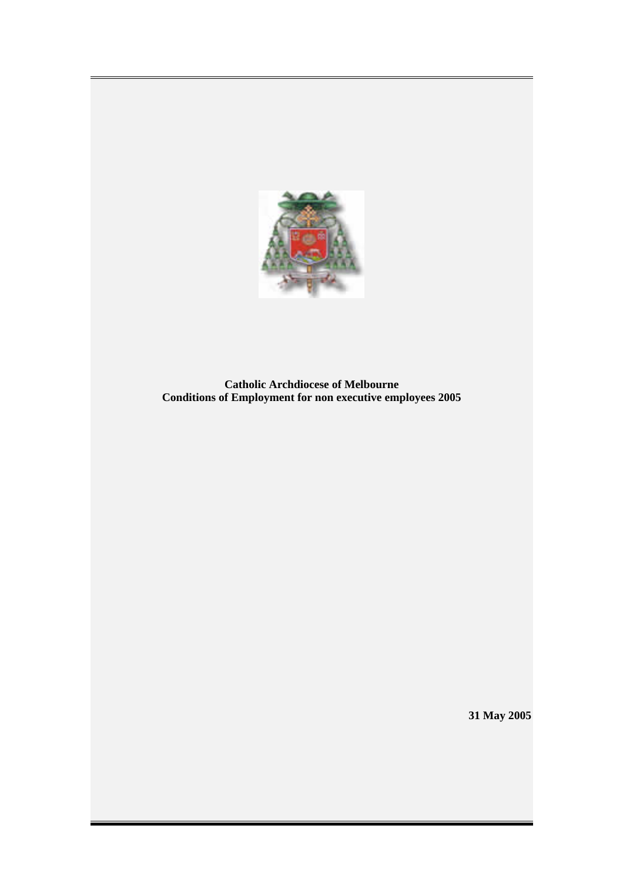

**Catholic Archdiocese of Melbourne Conditions of Employment for non executive employees 2005** 

**31 May 2005**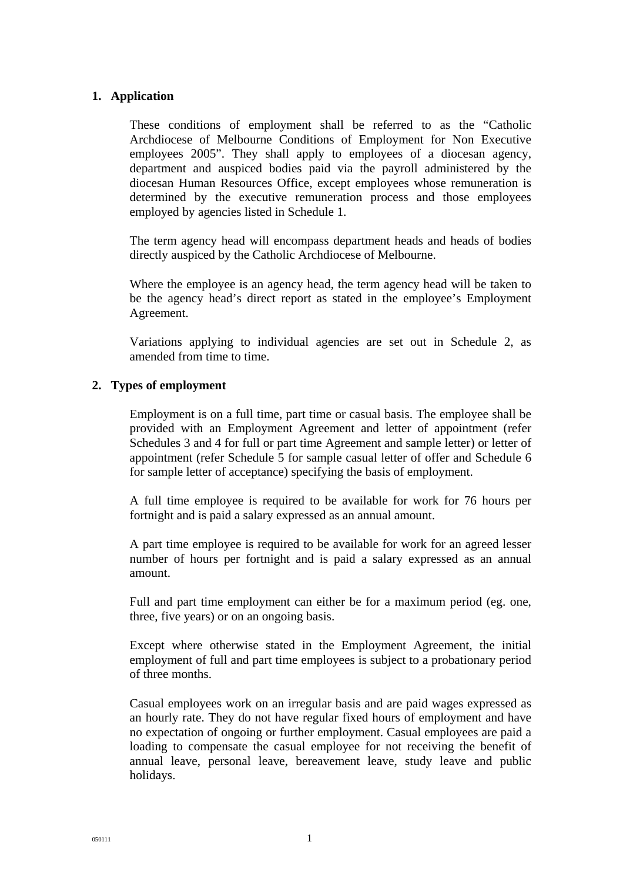### **1. Application**

These conditions of employment shall be referred to as the "Catholic Archdiocese of Melbourne Conditions of Employment for Non Executive employees 2005". They shall apply to employees of a diocesan agency, department and auspiced bodies paid via the payroll administered by the diocesan Human Resources Office, except employees whose remuneration is determined by the executive remuneration process and those employees employed by agencies listed in Schedule 1.

The term agency head will encompass department heads and heads of bodies directly auspiced by the Catholic Archdiocese of Melbourne.

Where the employee is an agency head, the term agency head will be taken to be the agency head's direct report as stated in the employee's Employment Agreement.

Variations applying to individual agencies are set out in Schedule 2, as amended from time to time.

### **2. Types of employment**

Employment is on a full time, part time or casual basis. The employee shall be provided with an Employment Agreement and letter of appointment (refer Schedules 3 and 4 for full or part time Agreement and sample letter) or letter of appointment (refer Schedule 5 for sample casual letter of offer and Schedule 6 for sample letter of acceptance) specifying the basis of employment.

A full time employee is required to be available for work for 76 hours per fortnight and is paid a salary expressed as an annual amount.

A part time employee is required to be available for work for an agreed lesser number of hours per fortnight and is paid a salary expressed as an annual amount.

Full and part time employment can either be for a maximum period (eg. one, three, five years) or on an ongoing basis.

Except where otherwise stated in the Employment Agreement, the initial employment of full and part time employees is subject to a probationary period of three months.

Casual employees work on an irregular basis and are paid wages expressed as an hourly rate. They do not have regular fixed hours of employment and have no expectation of ongoing or further employment. Casual employees are paid a loading to compensate the casual employee for not receiving the benefit of annual leave, personal leave, bereavement leave, study leave and public holidays.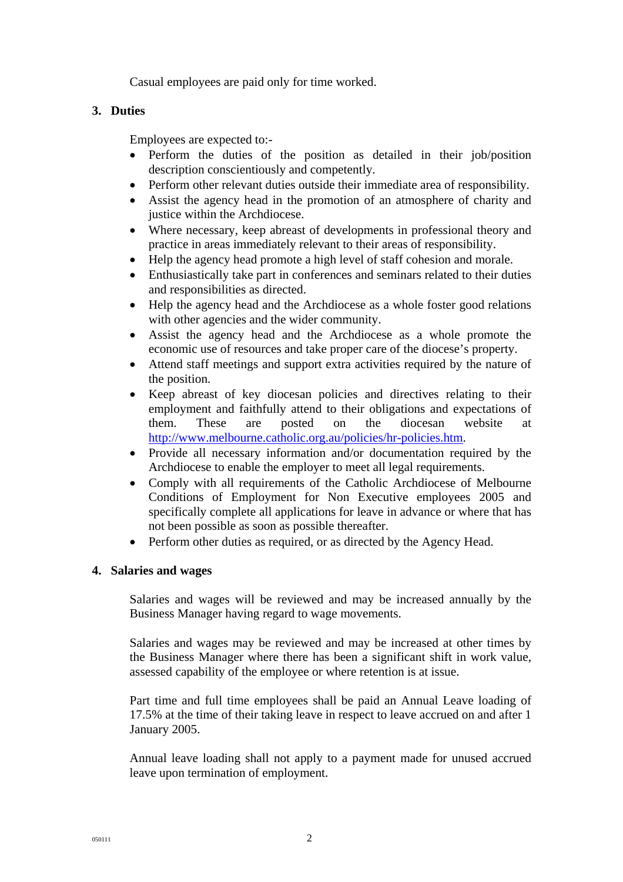Casual employees are paid only for time worked.

## **3. Duties**

Employees are expected to:-

- Perform the duties of the position as detailed in their job/position description conscientiously and competently.
- Perform other relevant duties outside their immediate area of responsibility.
- Assist the agency head in the promotion of an atmosphere of charity and justice within the Archdiocese.
- Where necessary, keep abreast of developments in professional theory and practice in areas immediately relevant to their areas of responsibility.
- Help the agency head promote a high level of staff cohesion and morale.
- Enthusiastically take part in conferences and seminars related to their duties and responsibilities as directed.
- Help the agency head and the Archdiocese as a whole foster good relations with other agencies and the wider community.
- Assist the agency head and the Archdiocese as a whole promote the economic use of resources and take proper care of the diocese's property.
- Attend staff meetings and support extra activities required by the nature of the position.
- Keep abreast of key diocesan policies and directives relating to their employment and faithfully attend to their obligations and expectations of them. These are posted on the diocesan website at <http://www.melbourne.catholic.org.au/policies/hr-policies.htm>.
- Provide all necessary information and/or documentation required by the Archdiocese to enable the employer to meet all legal requirements.
- Comply with all requirements of the Catholic Archdiocese of Melbourne Conditions of Employment for Non Executive employees 2005 and specifically complete all applications for leave in advance or where that has not been possible as soon as possible thereafter.
- Perform other duties as required, or as directed by the Agency Head.

## **4. Salaries and wages**

Salaries and wages will be reviewed and may be increased annually by the Business Manager having regard to wage movements.

Salaries and wages may be reviewed and may be increased at other times by the Business Manager where there has been a significant shift in work value, assessed capability of the employee or where retention is at issue.

Part time and full time employees shall be paid an Annual Leave loading of 17.5% at the time of their taking leave in respect to leave accrued on and after 1 January 2005.

Annual leave loading shall not apply to a payment made for unused accrued leave upon termination of employment.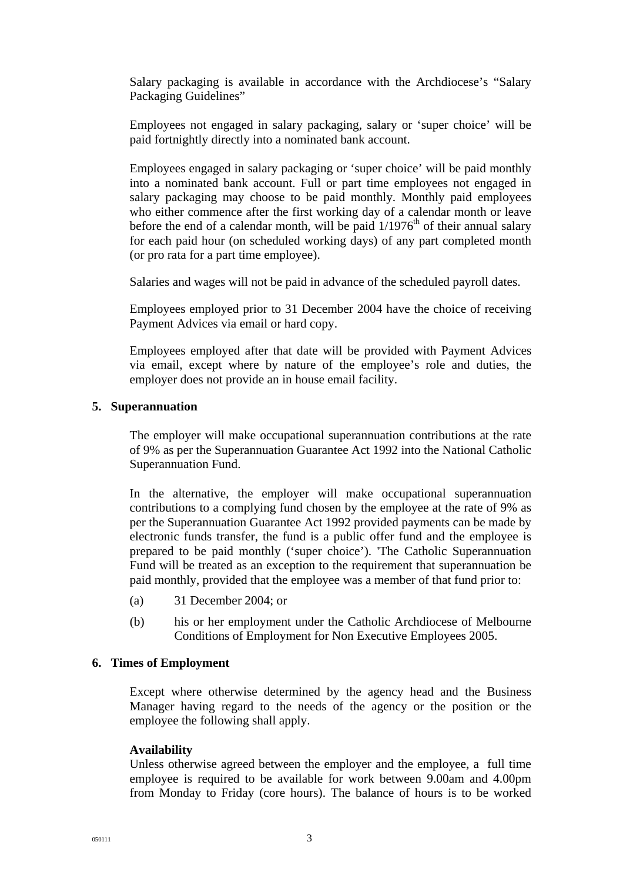Salary packaging is available in accordance with the Archdiocese's "Salary Packaging Guidelines"

Employees not engaged in salary packaging, salary or 'super choice' will be paid fortnightly directly into a nominated bank account.

Employees engaged in salary packaging or 'super choice' will be paid monthly into a nominated bank account. Full or part time employees not engaged in salary packaging may choose to be paid monthly. Monthly paid employees who either commence after the first working day of a calendar month or leave before the end of a calendar month, will be paid  $1/1976<sup>th</sup>$  of their annual salary for each paid hour (on scheduled working days) of any part completed month (or pro rata for a part time employee).

Salaries and wages will not be paid in advance of the scheduled payroll dates.

Employees employed prior to 31 December 2004 have the choice of receiving Payment Advices via email or hard copy.

Employees employed after that date will be provided with Payment Advices via email, except where by nature of the employee's role and duties, the employer does not provide an in house email facility.

### **5. Superannuation**

The employer will make occupational superannuation contributions at the rate of 9% as per the Superannuation Guarantee Act 1992 into the National Catholic Superannuation Fund.

In the alternative, the employer will make occupational superannuation contributions to a complying fund chosen by the employee at the rate of 9% as per the Superannuation Guarantee Act 1992 provided payments can be made by electronic funds transfer, the fund is a public offer fund and the employee is prepared to be paid monthly ('super choice'). 'The Catholic Superannuation Fund will be treated as an exception to the requirement that superannuation be paid monthly, provided that the employee was a member of that fund prior to:

- (a) 31 December 2004; or
- (b) his or her employment under the Catholic Archdiocese of Melbourne Conditions of Employment for Non Executive Employees 2005.

#### **6. Times of Employment**

Except where otherwise determined by the agency head and the Business Manager having regard to the needs of the agency or the position or the employee the following shall apply.

#### **Availability**

Unless otherwise agreed between the employer and the employee, a full time employee is required to be available for work between 9.00am and 4.00pm from Monday to Friday (core hours). The balance of hours is to be worked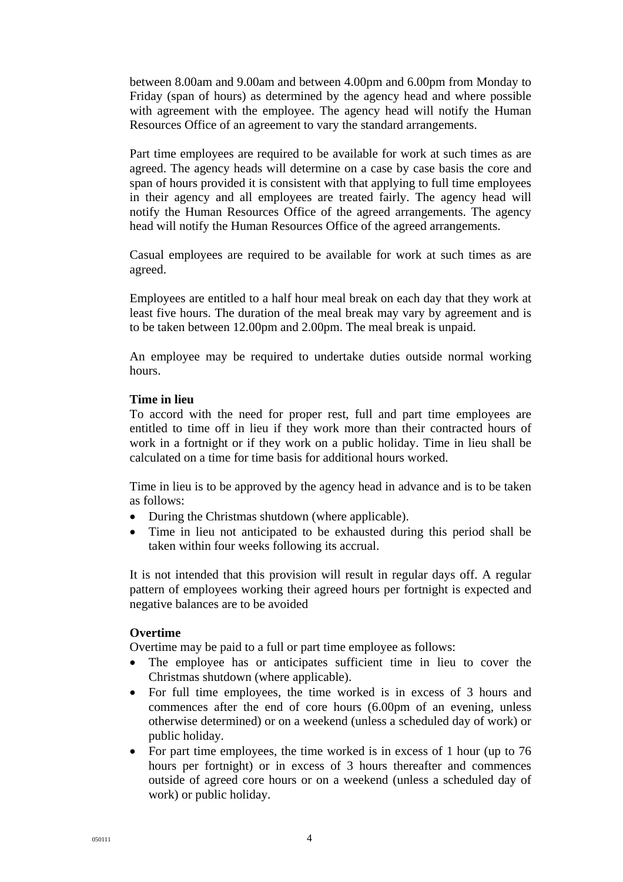between 8.00am and 9.00am and between 4.00pm and 6.00pm from Monday to Friday (span of hours) as determined by the agency head and where possible with agreement with the employee. The agency head will notify the Human Resources Office of an agreement to vary the standard arrangements.

Part time employees are required to be available for work at such times as are agreed. The agency heads will determine on a case by case basis the core and span of hours provided it is consistent with that applying to full time employees in their agency and all employees are treated fairly. The agency head will notify the Human Resources Office of the agreed arrangements. The agency head will notify the Human Resources Office of the agreed arrangements.

Casual employees are required to be available for work at such times as are agreed.

Employees are entitled to a half hour meal break on each day that they work at least five hours. The duration of the meal break may vary by agreement and is to be taken between 12.00pm and 2.00pm. The meal break is unpaid.

An employee may be required to undertake duties outside normal working hours.

### **Time in lieu**

To accord with the need for proper rest, full and part time employees are entitled to time off in lieu if they work more than their contracted hours of work in a fortnight or if they work on a public holiday. Time in lieu shall be calculated on a time for time basis for additional hours worked.

Time in lieu is to be approved by the agency head in advance and is to be taken as follows:

- During the Christmas shutdown (where applicable).
- Time in lieu not anticipated to be exhausted during this period shall be taken within four weeks following its accrual.

It is not intended that this provision will result in regular days off. A regular pattern of employees working their agreed hours per fortnight is expected and negative balances are to be avoided

### **Overtime**

Overtime may be paid to a full or part time employee as follows:

- The employee has or anticipates sufficient time in lieu to cover the Christmas shutdown (where applicable).
- For full time employees, the time worked is in excess of 3 hours and commences after the end of core hours (6.00pm of an evening, unless otherwise determined) or on a weekend (unless a scheduled day of work) or public holiday.
- For part time employees, the time worked is in excess of 1 hour (up to 76 hours per fortnight) or in excess of 3 hours thereafter and commences outside of agreed core hours or on a weekend (unless a scheduled day of work) or public holiday.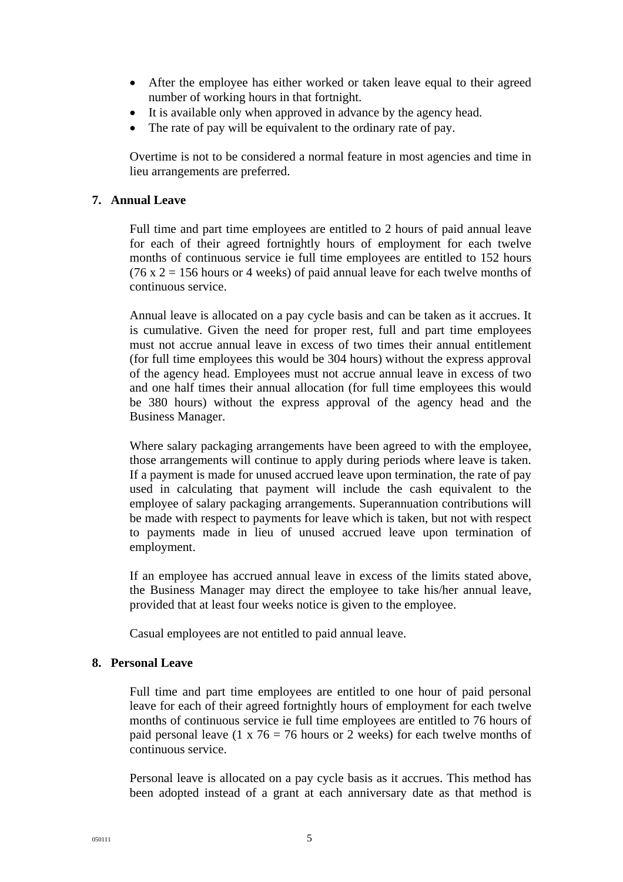- After the employee has either worked or taken leave equal to their agreed number of working hours in that fortnight.
- It is available only when approved in advance by the agency head.
- The rate of pay will be equivalent to the ordinary rate of pay.

Overtime is not to be considered a normal feature in most agencies and time in lieu arrangements are preferred.

### **7. Annual Leave**

Full time and part time employees are entitled to 2 hours of paid annual leave for each of their agreed fortnightly hours of employment for each twelve months of continuous service ie full time employees are entitled to 152 hours (76 x  $2 = 156$  hours or 4 weeks) of paid annual leave for each twelve months of continuous service.

Annual leave is allocated on a pay cycle basis and can be taken as it accrues. It is cumulative. Given the need for proper rest, full and part time employees must not accrue annual leave in excess of two times their annual entitlement (for full time employees this would be 304 hours) without the express approval of the agency head. Employees must not accrue annual leave in excess of two and one half times their annual allocation (for full time employees this would be 380 hours) without the express approval of the agency head and the Business Manager.

Where salary packaging arrangements have been agreed to with the employee, those arrangements will continue to apply during periods where leave is taken. If a payment is made for unused accrued leave upon termination, the rate of pay used in calculating that payment will include the cash equivalent to the employee of salary packaging arrangements. Superannuation contributions will be made with respect to payments for leave which is taken, but not with respect to payments made in lieu of unused accrued leave upon termination of employment.

If an employee has accrued annual leave in excess of the limits stated above, the Business Manager may direct the employee to take his/her annual leave, provided that at least four weeks notice is given to the employee.

Casual employees are not entitled to paid annual leave.

### **8. Personal Leave**

Full time and part time employees are entitled to one hour of paid personal leave for each of their agreed fortnightly hours of employment for each twelve months of continuous service ie full time employees are entitled to 76 hours of paid personal leave (1 x  $76 = 76$  hours or 2 weeks) for each twelve months of continuous service.

Personal leave is allocated on a pay cycle basis as it accrues. This method has been adopted instead of a grant at each anniversary date as that method is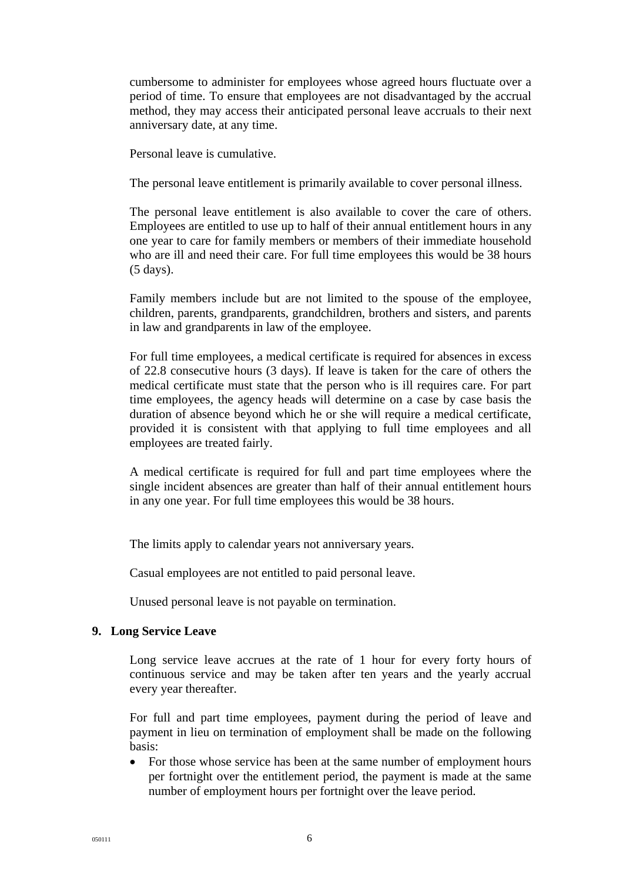cumbersome to administer for employees whose agreed hours fluctuate over a period of time. To ensure that employees are not disadvantaged by the accrual method, they may access their anticipated personal leave accruals to their next anniversary date, at any time.

Personal leave is cumulative.

The personal leave entitlement is primarily available to cover personal illness.

The personal leave entitlement is also available to cover the care of others. Employees are entitled to use up to half of their annual entitlement hours in any one year to care for family members or members of their immediate household who are ill and need their care. For full time employees this would be 38 hours (5 days).

Family members include but are not limited to the spouse of the employee, children, parents, grandparents, grandchildren, brothers and sisters, and parents in law and grandparents in law of the employee.

For full time employees, a medical certificate is required for absences in excess of 22.8 consecutive hours (3 days). If leave is taken for the care of others the medical certificate must state that the person who is ill requires care. For part time employees, the agency heads will determine on a case by case basis the duration of absence beyond which he or she will require a medical certificate, provided it is consistent with that applying to full time employees and all employees are treated fairly.

A medical certificate is required for full and part time employees where the single incident absences are greater than half of their annual entitlement hours in any one year. For full time employees this would be 38 hours.

The limits apply to calendar years not anniversary years.

Casual employees are not entitled to paid personal leave.

Unused personal leave is not payable on termination.

#### **9. Long Service Leave**

Long service leave accrues at the rate of 1 hour for every forty hours of continuous service and may be taken after ten years and the yearly accrual every year thereafter.

For full and part time employees, payment during the period of leave and payment in lieu on termination of employment shall be made on the following basis:

• For those whose service has been at the same number of employment hours per fortnight over the entitlement period, the payment is made at the same number of employment hours per fortnight over the leave period.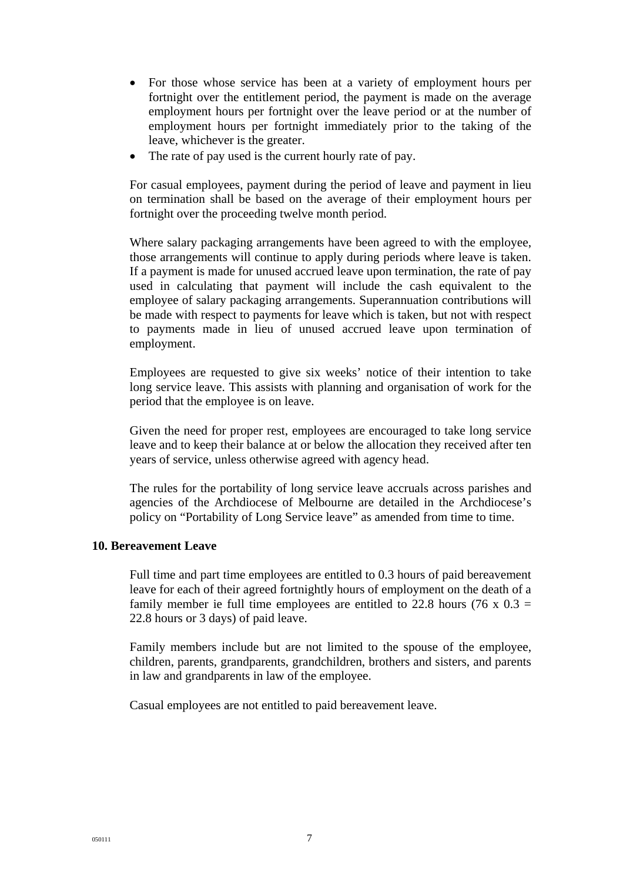- For those whose service has been at a variety of employment hours per fortnight over the entitlement period, the payment is made on the average employment hours per fortnight over the leave period or at the number of employment hours per fortnight immediately prior to the taking of the leave, whichever is the greater.
- The rate of pay used is the current hourly rate of pay.

For casual employees, payment during the period of leave and payment in lieu on termination shall be based on the average of their employment hours per fortnight over the proceeding twelve month period.

Where salary packaging arrangements have been agreed to with the employee, those arrangements will continue to apply during periods where leave is taken. If a payment is made for unused accrued leave upon termination, the rate of pay used in calculating that payment will include the cash equivalent to the employee of salary packaging arrangements. Superannuation contributions will be made with respect to payments for leave which is taken, but not with respect to payments made in lieu of unused accrued leave upon termination of employment.

Employees are requested to give six weeks' notice of their intention to take long service leave. This assists with planning and organisation of work for the period that the employee is on leave.

Given the need for proper rest, employees are encouraged to take long service leave and to keep their balance at or below the allocation they received after ten years of service, unless otherwise agreed with agency head.

The rules for the portability of long service leave accruals across parishes and agencies of the Archdiocese of Melbourne are detailed in the Archdiocese's policy on "Portability of Long Service leave" as amended from time to time.

### **10. Bereavement Leave**

Full time and part time employees are entitled to 0.3 hours of paid bereavement leave for each of their agreed fortnightly hours of employment on the death of a family member ie full time employees are entitled to 22.8 hours (76 x  $0.3 =$ 22.8 hours or 3 days) of paid leave.

Family members include but are not limited to the spouse of the employee, children, parents, grandparents, grandchildren, brothers and sisters, and parents in law and grandparents in law of the employee.

Casual employees are not entitled to paid bereavement leave.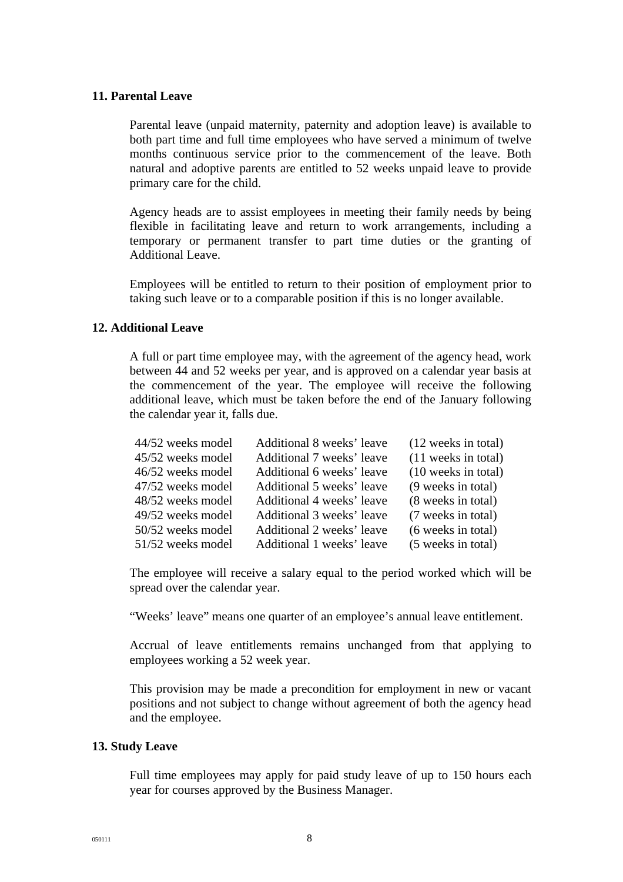#### **11. Parental Leave**

Parental leave (unpaid maternity, paternity and adoption leave) is available to both part time and full time employees who have served a minimum of twelve months continuous service prior to the commencement of the leave. Both natural and adoptive parents are entitled to 52 weeks unpaid leave to provide primary care for the child.

Agency heads are to assist employees in meeting their family needs by being flexible in facilitating leave and return to work arrangements, including a temporary or permanent transfer to part time duties or the granting of Additional Leave.

Employees will be entitled to return to their position of employment prior to taking such leave or to a comparable position if this is no longer available.

### **12. Additional Leave**

A full or part time employee may, with the agreement of the agency head, work between 44 and 52 weeks per year, and is approved on a calendar year basis at the commencement of the year. The employee will receive the following additional leave, which must be taken before the end of the January following the calendar year it, falls due.

| Additional 8 weeks' leave | (12 weeks in total) |
|---------------------------|---------------------|
| Additional 7 weeks' leave | (11 weeks in total) |
| Additional 6 weeks' leave | (10 weeks in total) |
| Additional 5 weeks' leave | (9 weeks in total)  |
| Additional 4 weeks' leave | (8 weeks in total)  |
| Additional 3 weeks' leave | (7 weeks in total)  |
| Additional 2 weeks' leave | (6 weeks in total)  |
| Additional 1 weeks' leave | (5 weeks in total)  |
|                           |                     |

The employee will receive a salary equal to the period worked which will be spread over the calendar year.

"Weeks' leave" means one quarter of an employee's annual leave entitlement.

Accrual of leave entitlements remains unchanged from that applying to employees working a 52 week year.

This provision may be made a precondition for employment in new or vacant positions and not subject to change without agreement of both the agency head and the employee.

### **13. Study Leave**

Full time employees may apply for paid study leave of up to 150 hours each year for courses approved by the Business Manager.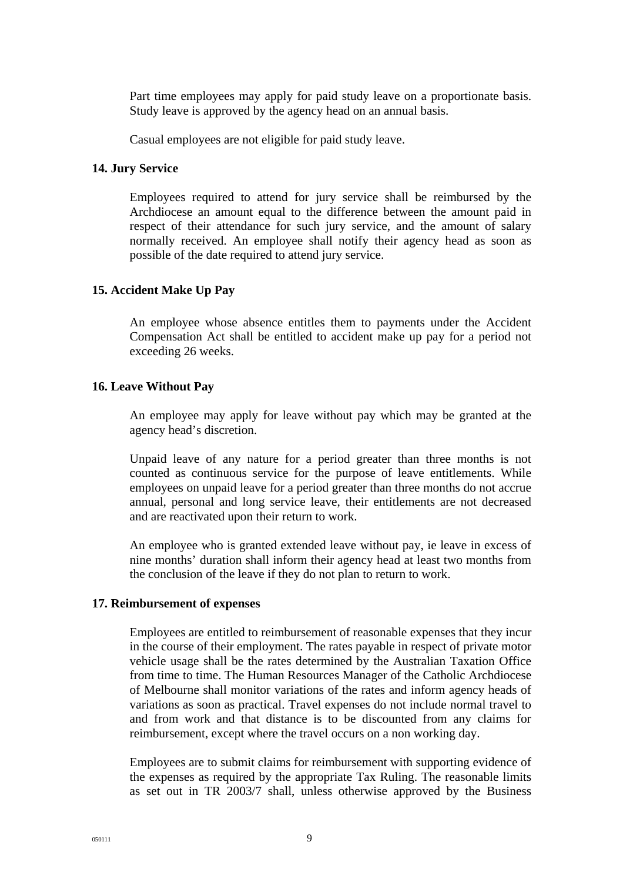Part time employees may apply for paid study leave on a proportionate basis. Study leave is approved by the agency head on an annual basis.

Casual employees are not eligible for paid study leave.

#### **14. Jury Service**

Employees required to attend for jury service shall be reimbursed by the Archdiocese an amount equal to the difference between the amount paid in respect of their attendance for such jury service, and the amount of salary normally received. An employee shall notify their agency head as soon as possible of the date required to attend jury service.

#### **15. Accident Make Up Pay**

An employee whose absence entitles them to payments under the Accident Compensation Act shall be entitled to accident make up pay for a period not exceeding 26 weeks.

#### **16. Leave Without Pay**

An employee may apply for leave without pay which may be granted at the agency head's discretion.

Unpaid leave of any nature for a period greater than three months is not counted as continuous service for the purpose of leave entitlements. While employees on unpaid leave for a period greater than three months do not accrue annual, personal and long service leave, their entitlements are not decreased and are reactivated upon their return to work.

An employee who is granted extended leave without pay, ie leave in excess of nine months' duration shall inform their agency head at least two months from the conclusion of the leave if they do not plan to return to work.

#### **17. Reimbursement of expenses**

Employees are entitled to reimbursement of reasonable expenses that they incur in the course of their employment. The rates payable in respect of private motor vehicle usage shall be the rates determined by the Australian Taxation Office from time to time. The Human Resources Manager of the Catholic Archdiocese of Melbourne shall monitor variations of the rates and inform agency heads of variations as soon as practical. Travel expenses do not include normal travel to and from work and that distance is to be discounted from any claims for reimbursement, except where the travel occurs on a non working day.

Employees are to submit claims for reimbursement with supporting evidence of the expenses as required by the appropriate Tax Ruling. The reasonable limits as set out in TR 2003/7 shall, unless otherwise approved by the Business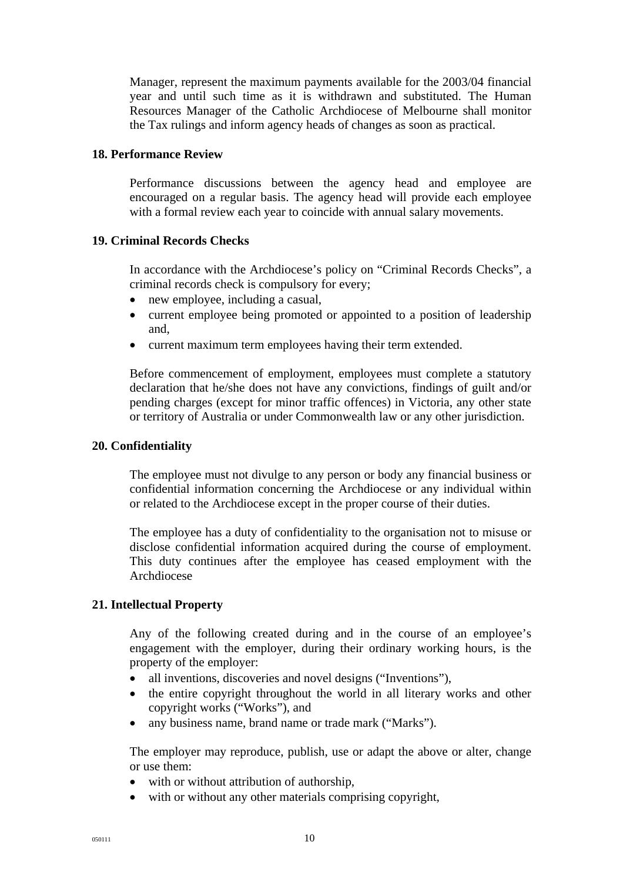Manager, represent the maximum payments available for the 2003/04 financial year and until such time as it is withdrawn and substituted. The Human Resources Manager of the Catholic Archdiocese of Melbourne shall monitor the Tax rulings and inform agency heads of changes as soon as practical.

### **18. Performance Review**

Performance discussions between the agency head and employee are encouraged on a regular basis. The agency head will provide each employee with a formal review each year to coincide with annual salary movements.

### **19. Criminal Records Checks**

In accordance with the Archdiocese's policy on "Criminal Records Checks", a criminal records check is compulsory for every;

- new employee, including a casual,
- current employee being promoted or appointed to a position of leadership and,
- current maximum term employees having their term extended.

Before commencement of employment, employees must complete a statutory declaration that he/she does not have any convictions, findings of guilt and/or pending charges (except for minor traffic offences) in Victoria, any other state or territory of Australia or under Commonwealth law or any other jurisdiction.

### **20. Confidentiality**

The employee must not divulge to any person or body any financial business or confidential information concerning the Archdiocese or any individual within or related to the Archdiocese except in the proper course of their duties.

The employee has a duty of confidentiality to the organisation not to misuse or disclose confidential information acquired during the course of employment. This duty continues after the employee has ceased employment with the Archdiocese

### **21. Intellectual Property**

Any of the following created during and in the course of an employee's engagement with the employer, during their ordinary working hours, is the property of the employer:

- all inventions, discoveries and novel designs ("Inventions"),
- the entire copyright throughout the world in all literary works and other copyright works ("Works"), and
- any business name, brand name or trade mark ("Marks").

The employer may reproduce, publish, use or adapt the above or alter, change or use them:

- with or without attribution of authorship,
- with or without any other materials comprising copyright.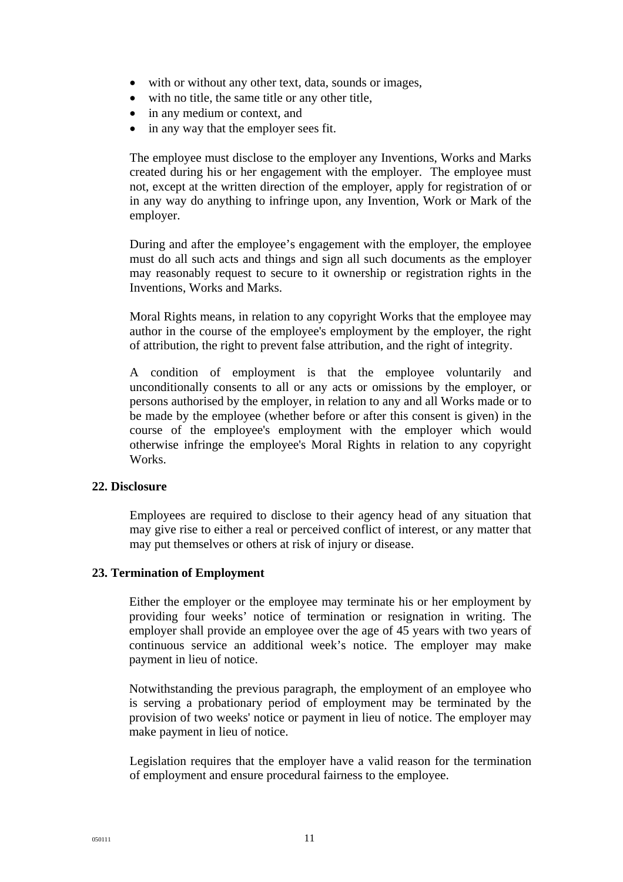- with or without any other text, data, sounds or images,
- with no title, the same title or any other title,
- in any medium or context, and
- in any way that the employer sees fit.

The employee must disclose to the employer any Inventions, Works and Marks created during his or her engagement with the employer. The employee must not, except at the written direction of the employer, apply for registration of or in any way do anything to infringe upon, any Invention, Work or Mark of the employer.

During and after the employee's engagement with the employer, the employee must do all such acts and things and sign all such documents as the employer may reasonably request to secure to it ownership or registration rights in the Inventions, Works and Marks.

Moral Rights means, in relation to any copyright Works that the employee may author in the course of the employee's employment by the employer, the right of attribution, the right to prevent false attribution, and the right of integrity.

A condition of employment is that the employee voluntarily and unconditionally consents to all or any acts or omissions by the employer, or persons authorised by the employer, in relation to any and all Works made or to be made by the employee (whether before or after this consent is given) in the course of the employee's employment with the employer which would otherwise infringe the employee's Moral Rights in relation to any copyright Works.

#### **22. Disclosure**

Employees are required to disclose to their agency head of any situation that may give rise to either a real or perceived conflict of interest, or any matter that may put themselves or others at risk of injury or disease.

#### **23. Termination of Employment**

Either the employer or the employee may terminate his or her employment by providing four weeks' notice of termination or resignation in writing. The employer shall provide an employee over the age of 45 years with two years of continuous service an additional week's notice. The employer may make payment in lieu of notice.

Notwithstanding the previous paragraph, the employment of an employee who is serving a probationary period of employment may be terminated by the provision of two weeks' notice or payment in lieu of notice. The employer may make payment in lieu of notice.

Legislation requires that the employer have a valid reason for the termination of employment and ensure procedural fairness to the employee.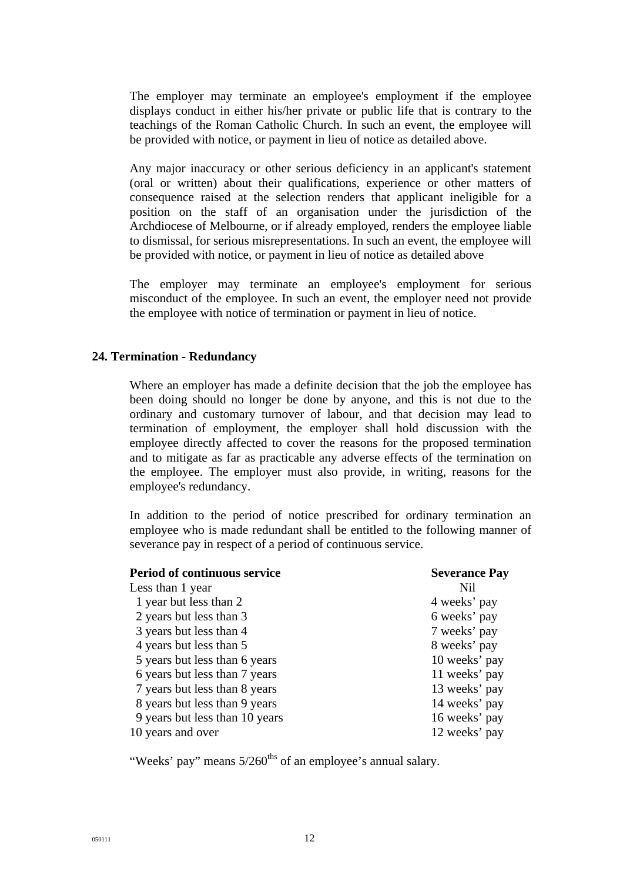The employer may terminate an employee's employment if the employee displays conduct in either his/her private or public life that is contrary to the teachings of the Roman Catholic Church. In such an event, the employee will be provided with notice, or payment in lieu of notice as detailed above.

Any major inaccuracy or other serious deficiency in an applicant's statement (oral or written) about their qualifications, experience or other matters of consequence raised at the selection renders that applicant ineligible for a position on the staff of an organisation under the jurisdiction of the Archdiocese of Melbourne, or if already employed, renders the employee liable to dismissal, for serious misrepresentations. In such an event, the employee will be provided with notice, or payment in lieu of notice as detailed above

The employer may terminate an employee's employment for serious misconduct of the employee. In such an event, the employer need not provide the employee with notice of termination or payment in lieu of notice.

#### **24. Termination - Redundancy**

Where an employer has made a definite decision that the job the employee has been doing should no longer be done by anyone, and this is not due to the ordinary and customary turnover of labour, and that decision may lead to termination of employment, the employer shall hold discussion with the employee directly affected to cover the reasons for the proposed termination and to mitigate as far as practicable any adverse effects of the termination on the employee. The employer must also provide, in writing, reasons for the employee's redundancy.

In addition to the period of notice prescribed for ordinary termination an employee who is made redundant shall be entitled to the following manner of severance pay in respect of a period of continuous service.

| <b>Period of continuous service</b> | <b>Severance Pay</b> |
|-------------------------------------|----------------------|
| Less than 1 year                    | Nil                  |
| 1 year but less than 2              | 4 weeks' pay         |
| 2 years but less than 3             | 6 weeks' pay         |
| 3 years but less than 4             | 7 weeks' pay         |
| 4 years but less than 5             | 8 weeks' pay         |
| 5 years but less than 6 years       | 10 weeks' pay        |
| 6 years but less than 7 years       | 11 weeks' pay        |
| 7 years but less than 8 years       | 13 weeks' pay        |
| 8 years but less than 9 years       | 14 weeks' pay        |
| 9 years but less than 10 years      | 16 weeks' pay        |
| 10 years and over                   | 12 weeks' pay        |

"Weeks' pay" means  $5/260$ <sup>ths</sup> of an employee's annual salary.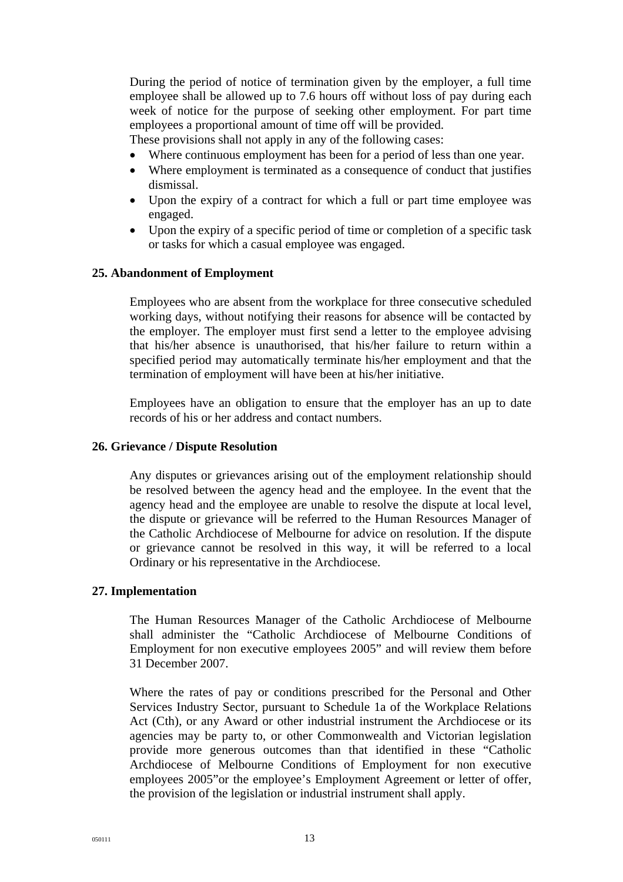During the period of notice of termination given by the employer, a full time employee shall be allowed up to 7.6 hours off without loss of pay during each week of notice for the purpose of seeking other employment. For part time employees a proportional amount of time off will be provided.

These provisions shall not apply in any of the following cases:

- Where continuous employment has been for a period of less than one year.
- Where employment is terminated as a consequence of conduct that justifies dismissal.
- Upon the expiry of a contract for which a full or part time employee was engaged.
- Upon the expiry of a specific period of time or completion of a specific task or tasks for which a casual employee was engaged.

#### **25. Abandonment of Employment**

Employees who are absent from the workplace for three consecutive scheduled working days, without notifying their reasons for absence will be contacted by the employer. The employer must first send a letter to the employee advising that his/her absence is unauthorised, that his/her failure to return within a specified period may automatically terminate his/her employment and that the termination of employment will have been at his/her initiative.

Employees have an obligation to ensure that the employer has an up to date records of his or her address and contact numbers.

#### **26. Grievance / Dispute Resolution**

Any disputes or grievances arising out of the employment relationship should be resolved between the agency head and the employee. In the event that the agency head and the employee are unable to resolve the dispute at local level, the dispute or grievance will be referred to the Human Resources Manager of the Catholic Archdiocese of Melbourne for advice on resolution. If the dispute or grievance cannot be resolved in this way, it will be referred to a local Ordinary or his representative in the Archdiocese.

#### **27. Implementation**

The Human Resources Manager of the Catholic Archdiocese of Melbourne shall administer the "Catholic Archdiocese of Melbourne Conditions of Employment for non executive employees 2005" and will review them before 31 December 2007.

Where the rates of pay or conditions prescribed for the Personal and Other Services Industry Sector, pursuant to Schedule 1a of the Workplace Relations Act (Cth), or any Award or other industrial instrument the Archdiocese or its agencies may be party to, or other Commonwealth and Victorian legislation provide more generous outcomes than that identified in these "Catholic Archdiocese of Melbourne Conditions of Employment for non executive employees 2005"or the employee's Employment Agreement or letter of offer, the provision of the legislation or industrial instrument shall apply.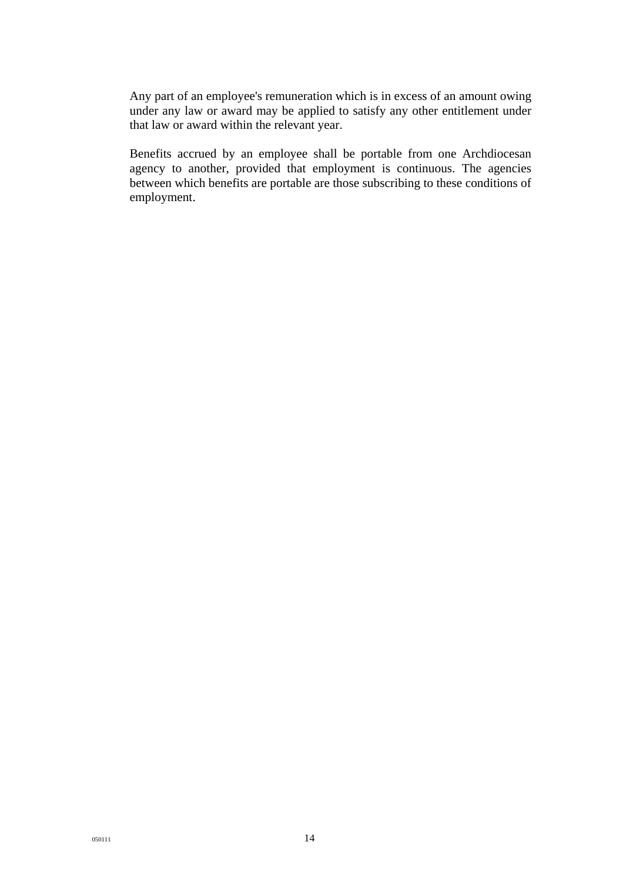Any part of an employee's remuneration which is in excess of an amount owing under any law or award may be applied to satisfy any other entitlement under that law or award within the relevant year.

Benefits accrued by an employee shall be portable from one Archdiocesan agency to another, provided that employment is continuous. The agencies between which benefits are portable are those subscribing to these conditions of employment.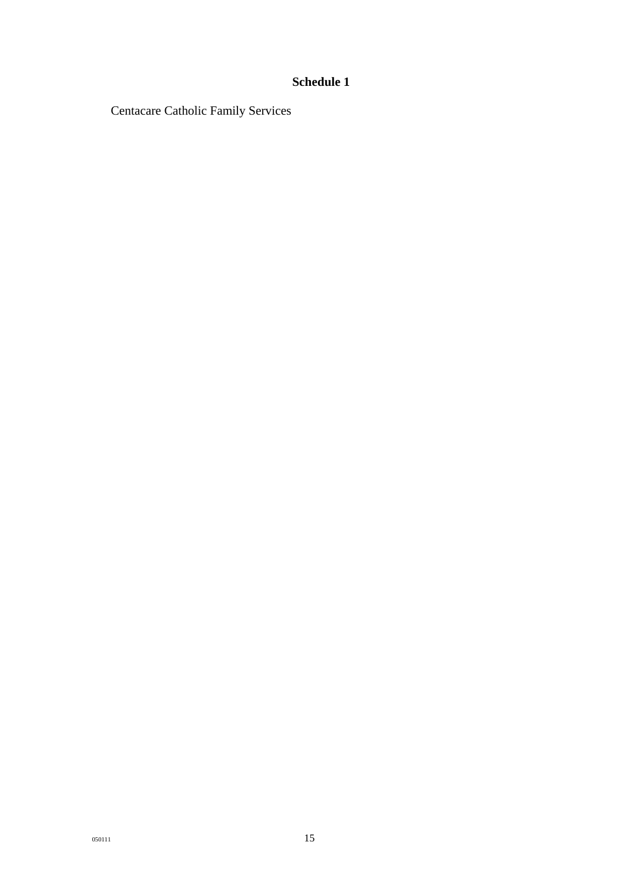# **Schedule 1**

Centacare Catholic Family Services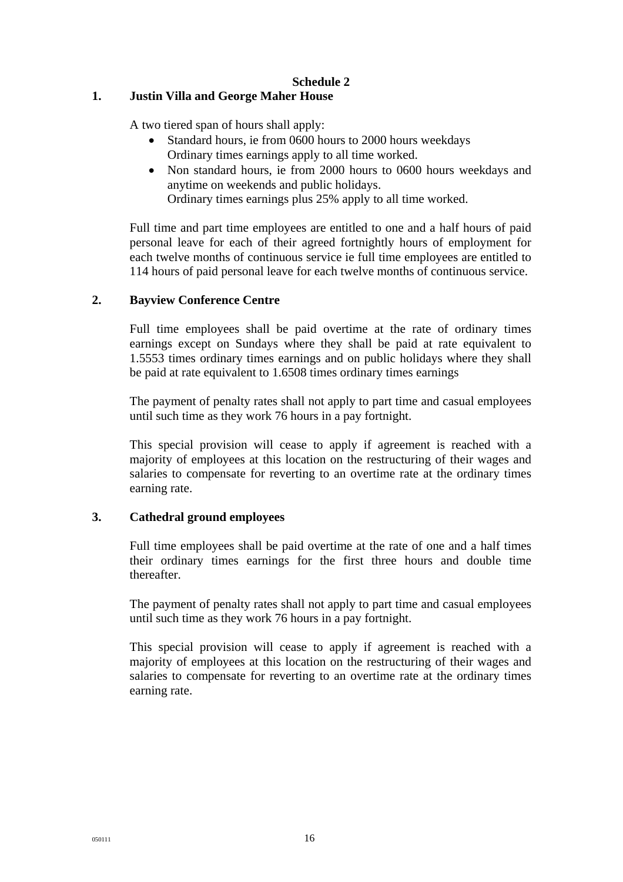## **Schedule 2**

## **1. Justin Villa and George Maher House**

A two tiered span of hours shall apply:

- Standard hours, ie from 0600 hours to 2000 hours weekdays Ordinary times earnings apply to all time worked.
- Non standard hours, ie from 2000 hours to 0600 hours weekdays and anytime on weekends and public holidays. Ordinary times earnings plus 25% apply to all time worked.

Full time and part time employees are entitled to one and a half hours of paid personal leave for each of their agreed fortnightly hours of employment for each twelve months of continuous service ie full time employees are entitled to 114 hours of paid personal leave for each twelve months of continuous service.

### **2. Bayview Conference Centre**

Full time employees shall be paid overtime at the rate of ordinary times earnings except on Sundays where they shall be paid at rate equivalent to 1.5553 times ordinary times earnings and on public holidays where they shall be paid at rate equivalent to 1.6508 times ordinary times earnings

The payment of penalty rates shall not apply to part time and casual employees until such time as they work 76 hours in a pay fortnight.

This special provision will cease to apply if agreement is reached with a majority of employees at this location on the restructuring of their wages and salaries to compensate for reverting to an overtime rate at the ordinary times earning rate.

### **3. Cathedral ground employees**

Full time employees shall be paid overtime at the rate of one and a half times their ordinary times earnings for the first three hours and double time thereafter.

The payment of penalty rates shall not apply to part time and casual employees until such time as they work 76 hours in a pay fortnight.

This special provision will cease to apply if agreement is reached with a majority of employees at this location on the restructuring of their wages and salaries to compensate for reverting to an overtime rate at the ordinary times earning rate.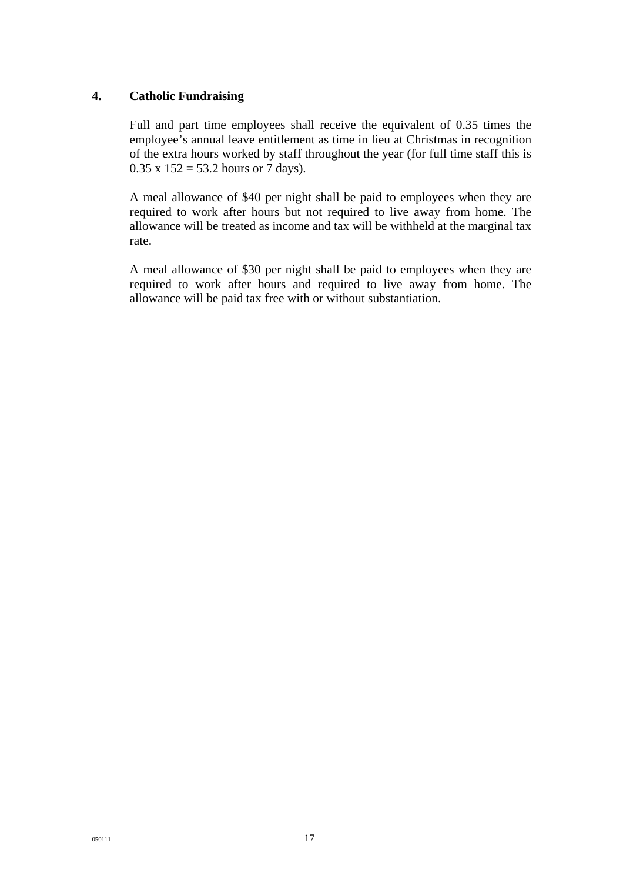### **4. Catholic Fundraising**

Full and part time employees shall receive the equivalent of 0.35 times the employee's annual leave entitlement as time in lieu at Christmas in recognition of the extra hours worked by staff throughout the year (for full time staff this is  $0.35 \times 152 = 53.2$  hours or 7 days).

A meal allowance of \$40 per night shall be paid to employees when they are required to work after hours but not required to live away from home. The allowance will be treated as income and tax will be withheld at the marginal tax rate.

A meal allowance of \$30 per night shall be paid to employees when they are required to work after hours and required to live away from home. The allowance will be paid tax free with or without substantiation.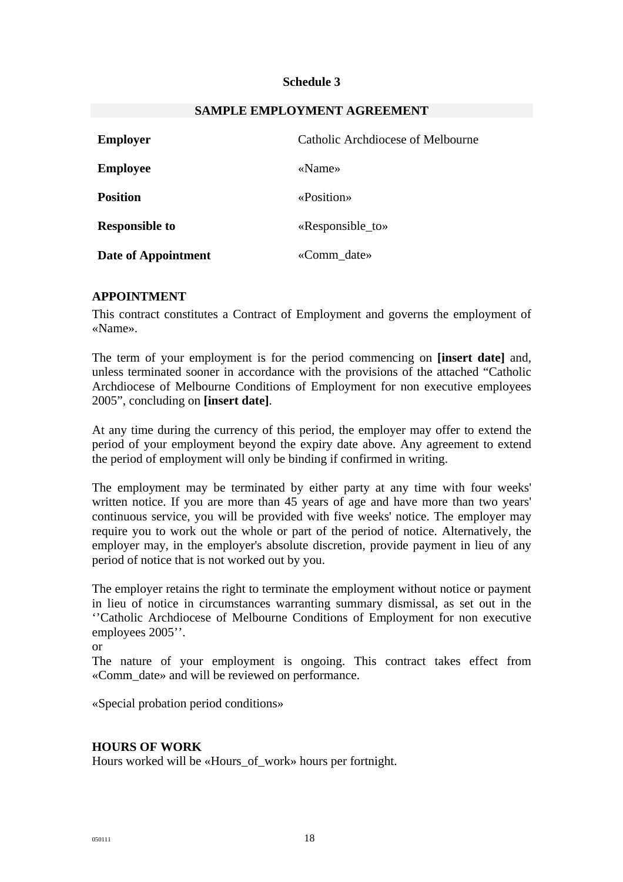### **Schedule 3**

| <b>Employer</b>       | Catholic Archdiocese of Melbourne |  |
|-----------------------|-----------------------------------|--|
| <b>Employee</b>       | «Name»                            |  |
| <b>Position</b>       | «Position»                        |  |
| <b>Responsible to</b> | «Responsible_to»                  |  |
| Date of Appointment   | «Comm date»                       |  |

#### **SAMPLE EMPLOYMENT AGREEMENT**

### **APPOINTMENT**

This contract constitutes a Contract of Employment and governs the employment of «Name».

The term of your employment is for the period commencing on **[insert date]** and, unless terminated sooner in accordance with the provisions of the attached "Catholic Archdiocese of Melbourne Conditions of Employment for non executive employees 2005", concluding on **[insert date]**.

At any time during the currency of this period, the employer may offer to extend the period of your employment beyond the expiry date above. Any agreement to extend the period of employment will only be binding if confirmed in writing.

The employment may be terminated by either party at any time with four weeks' written notice. If you are more than 45 years of age and have more than two years' continuous service, you will be provided with five weeks' notice. The employer may require you to work out the whole or part of the period of notice. Alternatively, the employer may, in the employer's absolute discretion, provide payment in lieu of any period of notice that is not worked out by you.

The employer retains the right to terminate the employment without notice or payment in lieu of notice in circumstances warranting summary dismissal, as set out in the ''Catholic Archdiocese of Melbourne Conditions of Employment for non executive employees 2005''.

or

The nature of your employment is ongoing. This contract takes effect from «Comm\_date» and will be reviewed on performance.

«Special probation period conditions»

### **HOURS OF WORK**

Hours worked will be «Hours\_of\_work» hours per fortnight.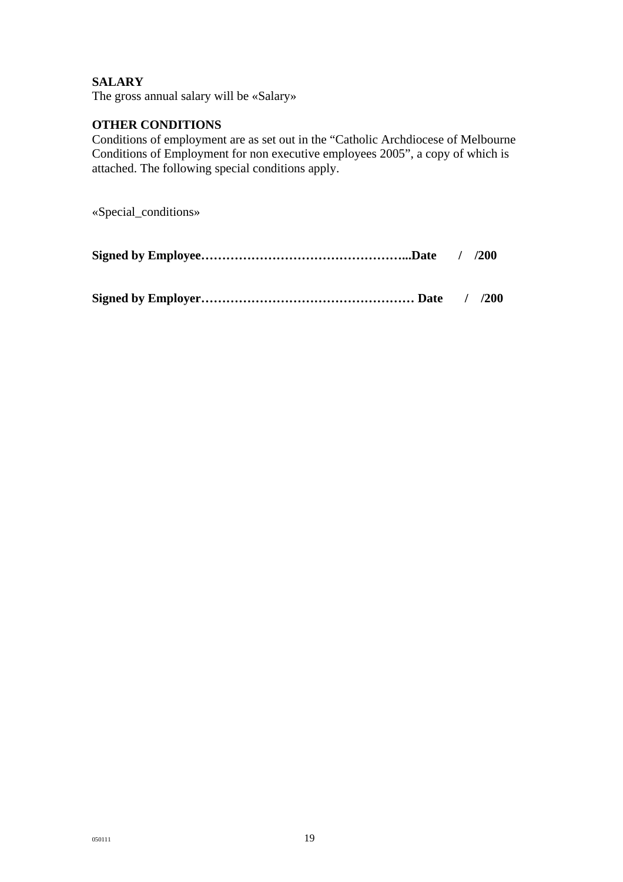## **SALARY**

The gross annual salary will be «Salary»

## **OTHER CONDITIONS**

Conditions of employment are as set out in the "Catholic Archdiocese of Melbourne Conditions of Employment for non executive employees 2005", a copy of which is attached. The following special conditions apply.

«Special\_conditions»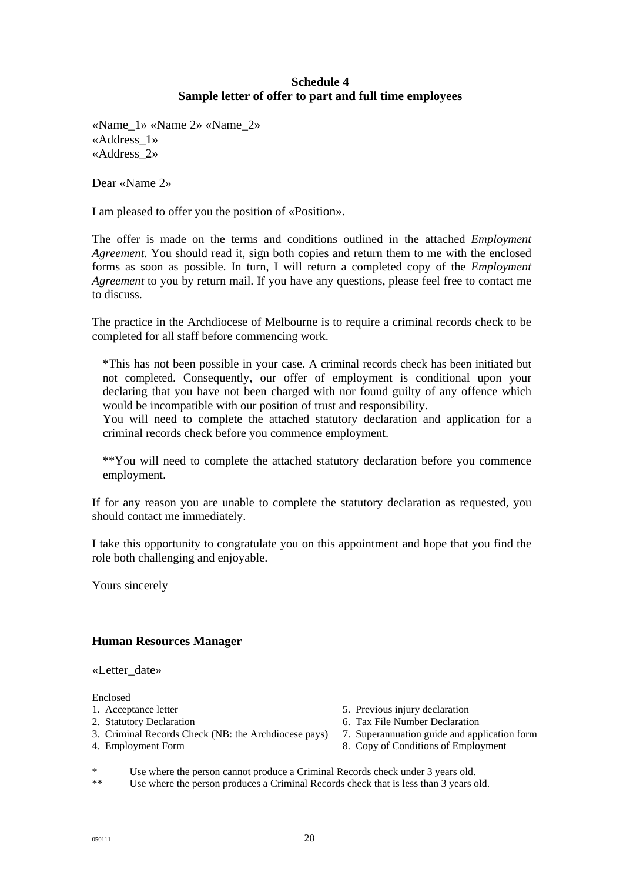## **Schedule 4 Sample letter of offer to part and full time employees**

«Name\_1» «Name 2» «Name\_2» «Address\_1» «Address\_2»

Dear «Name 2»

I am pleased to offer you the position of «Position».

The offer is made on the terms and conditions outlined in the attached *Employment Agreement*. You should read it, sign both copies and return them to me with the enclosed forms as soon as possible. In turn, I will return a completed copy of the *Employment Agreement* to you by return mail. If you have any questions, please feel free to contact me to discuss.

The practice in the Archdiocese of Melbourne is to require a criminal records check to be completed for all staff before commencing work.

\*This has not been possible in your case. A criminal records check has been initiated but not completed. Consequently, our offer of employment is conditional upon your declaring that you have not been charged with nor found guilty of any offence which would be incompatible with our position of trust and responsibility.

You will need to complete the attached statutory declaration and application for a criminal records check before you commence employment.

\*\*You will need to complete the attached statutory declaration before you commence employment.

If for any reason you are unable to complete the statutory declaration as requested, you should contact me immediately.

I take this opportunity to congratulate you on this appointment and hope that you find the role both challenging and enjoyable.

Yours sincerely

### **Human Resources Manager**

«Letter\_date»

Enclosed

- 
- 
- 3. Criminal Records Check (NB: the Archdiocese pays) 7. Superannuation guide and application form
- 
- 1. Acceptance letter 5. Previous injury declaration
- 2. Statutory Declaration 6. Tax File Number Declaration
	-
- 4. Employment Form 8. Copy of Conditions of Employment

Use where the person cannot produce a Criminal Records check under 3 years old.

\*\* Use where the person produces a Criminal Records check that is less than 3 years old.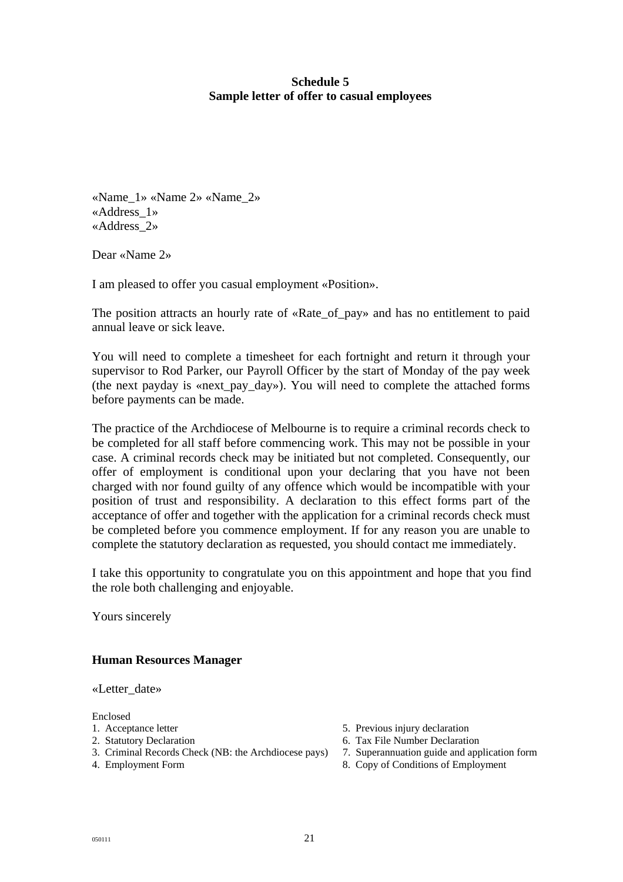## **Schedule 5 Sample letter of offer to casual employees**

«Name\_1» «Name 2» «Name\_2» «Address\_1» «Address\_2»

Dear «Name 2»

I am pleased to offer you casual employment «Position».

The position attracts an hourly rate of «Rate\_of\_pay» and has no entitlement to paid annual leave or sick leave.

You will need to complete a timesheet for each fortnight and return it through your supervisor to Rod Parker, our Payroll Officer by the start of Monday of the pay week (the next payday is «next\_pay\_day»). You will need to complete the attached forms before payments can be made.

The practice of the Archdiocese of Melbourne is to require a criminal records check to be completed for all staff before commencing work. This may not be possible in your case. A criminal records check may be initiated but not completed. Consequently, our offer of employment is conditional upon your declaring that you have not been charged with nor found guilty of any offence which would be incompatible with your position of trust and responsibility. A declaration to this effect forms part of the acceptance of offer and together with the application for a criminal records check must be completed before you commence employment. If for any reason you are unable to complete the statutory declaration as requested, you should contact me immediately.

I take this opportunity to congratulate you on this appointment and hope that you find the role both challenging and enjoyable.

Yours sincerely

### **Human Resources Manager**

«Letter\_date»

Enclosed

- 
- 
- 3. Criminal Records Check (NB: the Archdiocese pays) 7. Superannuation guide and application form
- 
- 1. Acceptance letter 1. Acceptance letter 1. Acceptance letter 1. Acceptance letter 1. Acceptance letter 1. Acceptance letter 1. Acceptance letter 1. Acceptance letter 1. Acceptance letter 1. Acceptance letter 1. Acceptanc
- 2. Statutory Declaration 6. Tax File Number Declaration
	-
- 4. Employment Form 8. Copy of Conditions of Employment